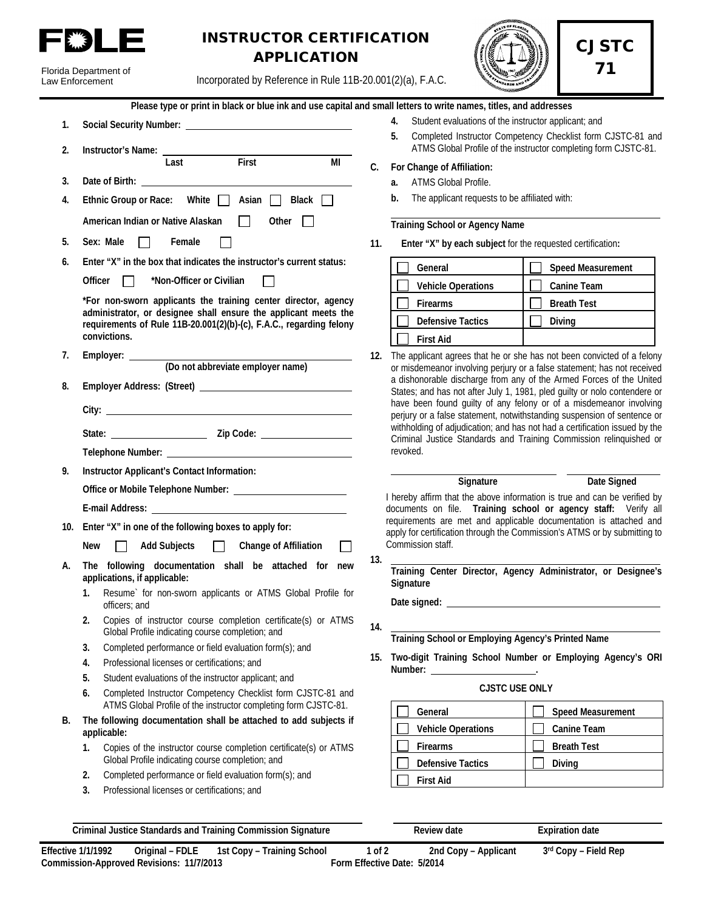

Florida Department of

# INSTRUCTOR CERTIFICATION APPLICATION



CJSTC

71

Incorporated by Reference in Rule 11B-20.001(2)(a), F.A.C.

|    | Incorporated by Reference in Rule 11B-20.001(2)(a), F.A.C.<br>Law Enforcement                                                                                                                                                 |                                                                                                    |
|----|-------------------------------------------------------------------------------------------------------------------------------------------------------------------------------------------------------------------------------|----------------------------------------------------------------------------------------------------|
|    | Please type or print in black or blue ink and use capital and small letters to write names, titles, and addresses                                                                                                             |                                                                                                    |
| 1. |                                                                                                                                                                                                                               | Student evaluations of the instructor applic<br>4.<br>Completed Instructor Competency Checkl<br>5. |
| 2. | Instructor's Name: Last First<br>MI                                                                                                                                                                                           | ATMS Global Profile of the instructor comp<br>C.<br>For Change of Affiliation:                     |
| 3. |                                                                                                                                                                                                                               | ATMS Global Profile.<br>a.                                                                         |
| 4. | Ethnic Group or Race: White   Asian   Black                                                                                                                                                                                   | The applicant requests to be affiliated with:<br>b.                                                |
|    | American Indian or Native Alaskan<br>┓<br>Other $\Box$                                                                                                                                                                        | <b>Training School or Agency Name</b>                                                              |
| 5. | Sex: Male<br>Female                                                                                                                                                                                                           | 11.<br>Enter "X" by each subject for the requested                                                 |
| 6. | Enter "X" in the box that indicates the instructor's current status:                                                                                                                                                          | General<br>Speed                                                                                   |
|    | Officer<br>*Non-Officer or Civilian<br>$\perp$                                                                                                                                                                                | <b>Vehicle Operations</b><br>Canir                                                                 |
|    | *For non-sworn applicants the training center director, agency                                                                                                                                                                | Firearms<br><b>Breat</b>                                                                           |
|    | administrator, or designee shall ensure the applicant meets the                                                                                                                                                               | <b>Defensive Tactics</b><br>Diving                                                                 |
|    | requirements of Rule 11B-20.001(2)(b)-(c), F.A.C., regarding felony<br>convictions.                                                                                                                                           | <b>First Aid</b>                                                                                   |
| 7. |                                                                                                                                                                                                                               | 12. The applicant agrees that he or she has not been                                               |
|    |                                                                                                                                                                                                                               | or misdemeanor involving perjury or a false state                                                  |
| 8. |                                                                                                                                                                                                                               | a dishonorable discharge from any of the Arme<br>States; and has not after July 1, 1981, pled guil |
|    |                                                                                                                                                                                                                               | have been found guilty of any felony or of a<br>perjury or a false statement, notwithstanding sur  |
|    |                                                                                                                                                                                                                               | withholding of adjudication; and has not had a co<br>Criminal Justice Standards and Training Com   |
|    |                                                                                                                                                                                                                               | revoked.                                                                                           |
| 9. | Instructor Applicant's Contact Information:                                                                                                                                                                                   |                                                                                                    |
|    |                                                                                                                                                                                                                               | Signature                                                                                          |
|    | E-mail Address: No. 1996. The Contract of the Contract of the Contract of the Contract of the Contract of the Contract of the Contract of the Contract of the Contract of the Contract of the Contract of the Contract of the | I hereby affirm that the above information is true<br>documents on file. Training school or age    |
|    | 10. Enter "X" in one of the following boxes to apply for:                                                                                                                                                                     | requirements are met and applicable documer                                                        |
|    | New<br><b>Add Subjects</b><br><b>Change of Affiliation</b>                                                                                                                                                                    | apply for certification through the Commission's A<br>Commission staff.                            |
| А. | The following documentation shall be attached for new<br>applications, if applicable:                                                                                                                                         | 13.<br>Training Center Director, Agency Adminis                                                    |
|    | 1. Resume` for non-sworn applicants or ATMS Global Profile for<br>officers; and                                                                                                                                               | Signature                                                                                          |
|    | Copies of instructor course completion certificate(s) or ATMS<br>2.<br>Global Profile indicating course completion; and                                                                                                       | 14.                                                                                                |
|    | Completed performance or field evaluation form(s); and<br>3.                                                                                                                                                                  | Training School or Employing Agency's Print                                                        |
|    | Professional licenses or certifications; and<br>4.                                                                                                                                                                            | 15. Two-digit Training School Number or Emp                                                        |
|    | 5.<br>Student evaluations of the instructor applicant; and                                                                                                                                                                    |                                                                                                    |
|    | Completed Instructor Competency Checklist form CJSTC-81 and<br>6.<br>ATMS Global Profile of the instructor completing form CJSTC-81.                                                                                          | <b>CJSTC USE ONLY</b><br>General<br>Spee                                                           |
| В. | The following documentation shall be attached to add subjects if<br>applicable:                                                                                                                                               | <b>Vehicle Operations</b><br>Cani                                                                  |
|    | Copies of the instructor course completion certificate(s) or ATMS<br>1.                                                                                                                                                       | <b>Firearms</b><br><b>Brea</b>                                                                     |
|    | Global Profile indicating course completion; and                                                                                                                                                                              | <b>Defensive Tactics</b><br>Divin                                                                  |
|    | Completed performance or field evaluation form(s); and<br>2.                                                                                                                                                                  | <b>First Aid</b>                                                                                   |
|    | 3.<br>Professional licenses or certifications; and                                                                                                                                                                            |                                                                                                    |
|    |                                                                                                                                                                                                                               |                                                                                                    |

- evaluations of the instructor applicant; and
- **Example Instructor Competency Checklist form CJSTC-81 and** lobal Profile of the instructor completing form CJSTC-81.

#### **C. For Change of Affiliation:**

- **lobal Profile.**
- **icant requests to be affiliated with:**

**11. Enter "X" by each subject** for the requested certification**:** 

| General                   | <b>Speed Measurement</b> |
|---------------------------|--------------------------|
| <b>Vehicle Operations</b> | <b>Canine Team</b>       |
| <b>Firearms</b>           | <b>Breath Test</b>       |
| <b>Defensive Tactics</b>  | Diving                   |
| <b>First Aid</b>          |                          |

agrees that he or she has not been convicted of a felony or involving perjury or a false statement; has not received e discharge from any of the Armed Forces of the United is not after July 1, 1981, pled guilty or nolo contendere or und guilty of any felony or of a misdemeanor involving lse statement, notwithstanding suspension of sentence or adjudication; and has not had a certification issued by the ce Standards and Training Commission relinquished or

**Signature Date Signed** 

that the above information is true and can be verified by file. Training school or agency staff: Verify all re met and applicable documentation is attached and ation through the Commission's ATMS or by submitting to ıff.

**Training Center Director, Agency Administrator, or Designee's** 

**Training Agency's Printed Name** 

**15. Two-digit Training School Number or Employing Agency's ORI Number:** <u>\_\_\_\_\_\_\_\_\_\_\_\_\_\_\_\_\_\_\_\_\_\_</u>.

### **CJSTC USE ONLY**

| General                   | <b>Speed Measurement</b> |
|---------------------------|--------------------------|
| <b>Vehicle Operations</b> | Canine Team              |
| <b>Firearms</b>           | <b>Breath Test</b>       |
| <b>Defensive Tactics</b>  | Diving                   |
| <b>First Aid</b>          |                          |

**Criminal Justice Standards and Training Commission Signature Review date Expiration date**